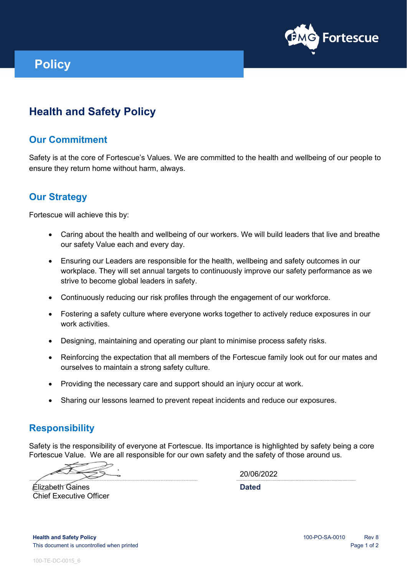

# **Policy**

## **Health and Safety Policy**

### **Our Commitment**

Safety is at the core of Fortescue's Values. We are committed to the health and wellbeing of our people to ensure they return home without harm, always.

#### **Our Strategy**

Fortescue will achieve this by:

- Caring about the health and wellbeing of our workers. We will build leaders that live and breathe our safety Value each and every day.
- Ensuring our Leaders are responsible for the health, wellbeing and safety outcomes in our workplace. They will set annual targets to continuously improve our safety performance as we strive to become global leaders in safety.
- Continuously reducing our risk profiles through the engagement of our workforce.
- Fostering a safety culture where everyone works together to actively reduce exposures in our work activities.
- Designing, maintaining and operating our plant to minimise process safety risks.
- Reinforcing the expectation that all members of the Fortescue family look out for our mates and ourselves to maintain a strong safety culture.
- Providing the necessary care and support should an injury occur at work.
- Sharing our lessons learned to prevent repeat incidents and reduce our exposures.

#### **Responsibility**

Safety is the responsibility of everyone at Fortescue. Its importance is highlighted by safety being a core Fortescue Value. We are all responsible for our own safety and the safety of those around us.

20/06/2022

**Dated**

Elizabeth Gaines Chief Executive Officer

**Health and Safety Policy Rev 8 Health and Safety Policy Rev 8** This document is uncontrolled when printed **Page 1 of 2** and 2 and 2 and 2 and 2 and 2 and 2 and 2 and 2 and 2 and 2 and 2 and 2 and 2 and 2 and 2 and 2 and 2 and 2 and 2 and 2 and 2 and 2 and 2 and 2 and 2 and 2 and 2 and